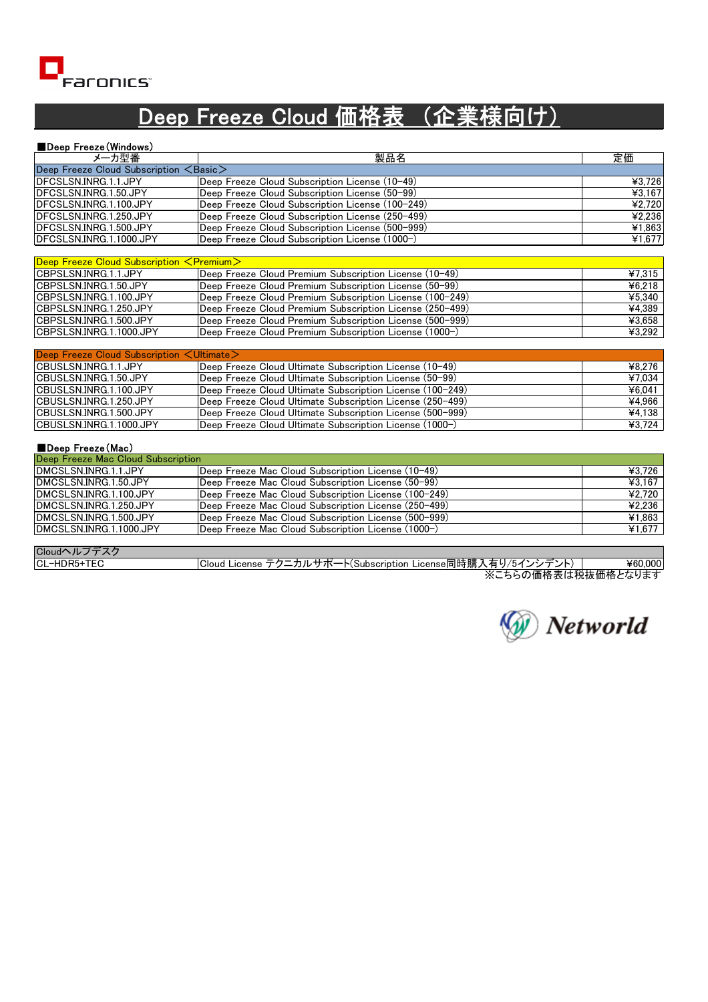

## Deep Freeze Cloud 価格表 (企業様向け)

| ■Deep Freeze (Windows)                             |                                                  |        |
|----------------------------------------------------|--------------------------------------------------|--------|
| メーカ型番                                              | 製品名                                              | 定価     |
| Deep Freeze Cloud Subscription $\leq$ Basic $\geq$ |                                                  |        |
| DFCSLSN.INRG.1.1.JPY                               | Deep Freeze Cloud Subscription License (10-49)   | ¥3,726 |
| DFCSLSN.INRG.1.50.JPY                              | Deep Freeze Cloud Subscription License (50-99)   | ¥3,167 |
| DFCSLSN.INRG.1.100.JPY                             | Deep Freeze Cloud Subscription License (100-249) | ¥2,720 |
| DFCSLSN.INRG.1.250.JPY                             | Deep Freeze Cloud Subscription License (250-499) | 42,236 |
| DECSLSN.INRG.1.500.JPY                             | Deep Freeze Cloud Subscription License (500-999) | ¥1,863 |
| DFCSLSN.INRG.1.1000.JPY                            | Deep Freeze Cloud Subscription License (1000-)   | ¥1,677 |
|                                                    |                                                  |        |

| $\vert$ Deep Freeze Cloud Subscription $\leq$ Premium $>$ |                                                          |        |
|-----------------------------------------------------------|----------------------------------------------------------|--------|
| ICBPSLSN.INRG.1.1.JPY                                     | Deep Freeze Cloud Premium Subscription License (10-49)   | ¥7.315 |
| ICBPSLSN.INRG.1.50.JPY                                    | Deep Freeze Cloud Premium Subscription License (50-99)   | ¥6.218 |
| ICBPSLSN.INRG.1.100.JPY                                   | Deep Freeze Cloud Premium Subscription License (100-249) | ¥5.340 |
| ICBPSLSN.INRG.1.250.JPY                                   | Deep Freeze Cloud Premium Subscription License (250-499) | ¥4.389 |
| ICBPSLSN.INRG.1.500.JPY                                   | Deep Freeze Cloud Premium Subscription License (500–999) | ¥3.658 |
| ICBPSLSN.INRG.1.1000.JPY                                  | Deep Freeze Cloud Premium Subscription License (1000-)   | ¥3.292 |

| Deep Freeze Cloud Subscription < Ultimate> |                                                           |        |  |
|--------------------------------------------|-----------------------------------------------------------|--------|--|
| ICBUSLSN.INRG.1.1.JPY                      | Deep Freeze Cloud Ultimate Subscription License (10-49)   | ¥8.276 |  |
| ICBUSLSN.INRG.1.50.JPY                     | Deep Freeze Cloud Ultimate Subscription License (50–99)   | ¥7,034 |  |
| CBUSLSN.INRG.1.100.JPY                     | Deep Freeze Cloud Ultimate Subscription License (100-249) | 46.041 |  |
| ICBUSLSN.INRG.1.250.JPY                    | Deep Freeze Cloud Ultimate Subscription License (250-499) | ¥4.966 |  |
| ICBUSLSN.INRG.1.500.JPY                    | Deep Freeze Cloud Ultimate Subscription License (500-999) | 44.138 |  |
| ICBUSLSN.INRG.1.1000.JPY                   | Deep Freeze Cloud Ultimate Subscription License (1000-)   | 43,724 |  |

#### ■Deep Freeze(Mac)

| Deep Freeze Mac Cloud Subscription |                                                      |        |  |
|------------------------------------|------------------------------------------------------|--------|--|
| IDMCSLSN.INRG.1.1.JPY              | Deep Freeze Mac Cloud Subscription License (10-49)   | ¥3.726 |  |
| IDMCSLSN.INRG.1.50.JPY             | Deep Freeze Mac Cloud Subscription License (50-99)   | ¥3.167 |  |
| IDMCSLSN.INRG.1.100.JPY            | Deep Freeze Mac Cloud Subscription License (100-249) | ¥2.720 |  |
| DMCSLSN.INRG.1.250.JPY             | Deep Freeze Mac Cloud Subscription License (250-499) | ¥2.236 |  |
| DMCSLSN.INRG.1.500.JPY             | Deep Freeze Mac Cloud Subscription License (500-999) | ¥1.863 |  |
| DMCSLSN.INRG.1.1000.JPY            | Deep Freeze Mac Cloud Subscription License (1000-)   | 41,677 |  |

| Cloudヘル      |                                                                                                   |         |
|--------------|---------------------------------------------------------------------------------------------------|---------|
| ICL-HDR5+TEC | License同時購<br>- ニカルギー<br>⁄ 5⊿<br>(Subscription)<br>ᄼ<br>石<br>Cloud<br>License <sup>-</sup><br>715 | ¥60.000 |
|              | <u> ゾーナ こ @ /ㅠ+b 士 /+ チ⊻ ++ /ㅠ+b l +- / l +- +-</u>                                               |         |

※こちらの価格表は税抜価格となります